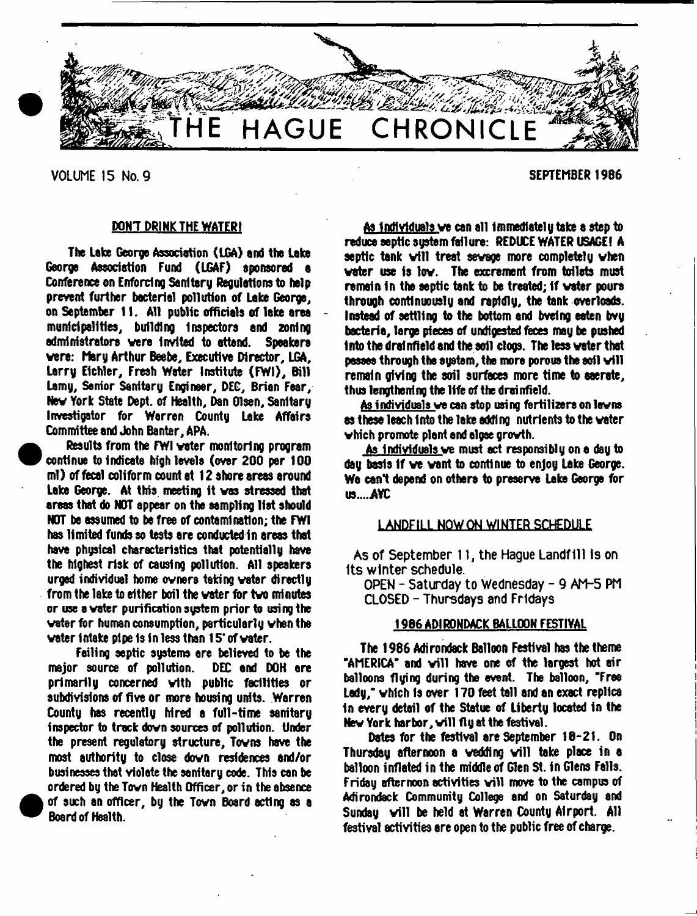

VOLUME 15 No. 9 SEPTEMBER 1986

**•** 

**e** 

## DON'T DRINK THE WATER!

The Lake George Association (LGA) and the Lake George Association Fund (LGAF) sponsored a Conference on Enforcing Sanitary Regulations to help prevent further bacterial pollution of Lake George, on September 11. All public officials of lake area municipalities, building Inspectors and zoning administrators were invited to attend. vere: Mary Arthur Beebe, Executive Director, LGA, Larry Eichler, Fresh Water Institute (FWI), Bill Lsmy, Senior Sanitary Engineer, DEC, Brian Fear, Nev York State Dept, of Health, Den Olsen, Sanitary Investigator for Warren County Lake Affairs Committee and John Banter, APA.

 Results from the FWI voter monitoring program continue to Indicate high levels (over 200 per 100 ml) of fecal coliform count at 12 shore areas around Lake George. At this meeting it vas stressed that areas that do NOT appear on the sampling list should NOT be assumed to be free of contamination; the FWI has limited funds so tests are conducted in areas that have physical characteristics that potentially have the highest risk of causing pollution. All speakers urged individual home ovners taking water directly from the lake to either boil the vater for tvo minutes or use a vater purification system prior to using the water for human consumption, particularly when the vater intake pipe Is 1n less than 15' of vater.

Foiling septic systems ere believed to be the major source of pollution. DEC end DOH ere primarily concerned with public facilities or subdivisions of five or more housing units. Warren County has recently hired a full-time sanitary inspector to track down sources of pollution. Under the present regulatory structure, Towns have the most authority to close down residences and/or businesses that violate the sonitsry code. This can be ordered by the Town Health Officer, or in the absence of such an officer, by the Town Board acting as a Board of Health.

As Individuals ve can all immediately take a step to reduce septic sustem failure: REDUCE WATER USAGE! A septic tank will treat sewage more completely when vater use is lov. The excrement from toilets must remain in the septic tank to be treated; if water pours through continuously and rapidly, the tank overloads. Instead of settling to the bottom and bvefng eaten bvy bacteria, large pieces of undigested feces may be pushed Into the drainfield and the aoil clogs. The less vater that passes through the sustem, the more porous the soil will remain giving the soil surfaces more time to aaerate, thus lengthening the life of the drainfield.

As individuals ve can atop using fertilizers on lawns as these leach into the lake adding nutrients to the vater vhich promote plant end elgae growth.

As Individuals ve must act responsibly on e day to day basis if ve vant to continue to enjoy Lake George. We cant depend on others to preserve Lake Georgs for US....AYC

#### LANDFILL NOW ON WINTER SCHEDULE

As of September 11, the Hague Landfill is on Its winter schedule.

OPEN - Saturday to Wednesday - 9 AM-5 PM CLOSED - Thursdays and Fridays

## 1986 ADIRONDACK BALLOON FESTIVAL

The 1986 Adirondack Balloon Festival has the theme "AMERICA" and will have one of the largest hot air balloons flying during the event. The balloon, "Free Lady," which is over 170 feet tall and an exact replica in every detail of the Statue of Liberty located in the New York harbor, will fly at the festival.

Dates for the festival are September 18-21. On Thursday afternoon a wedding will take place in a balloon inflated in the middle of Glen St. in Glens Falls. Friday afternoon activities will move to the campus of Adirondack Community College and on Saturday and Sunday vill be held at Warren County Airport. All festival activities are open to the public free of charge.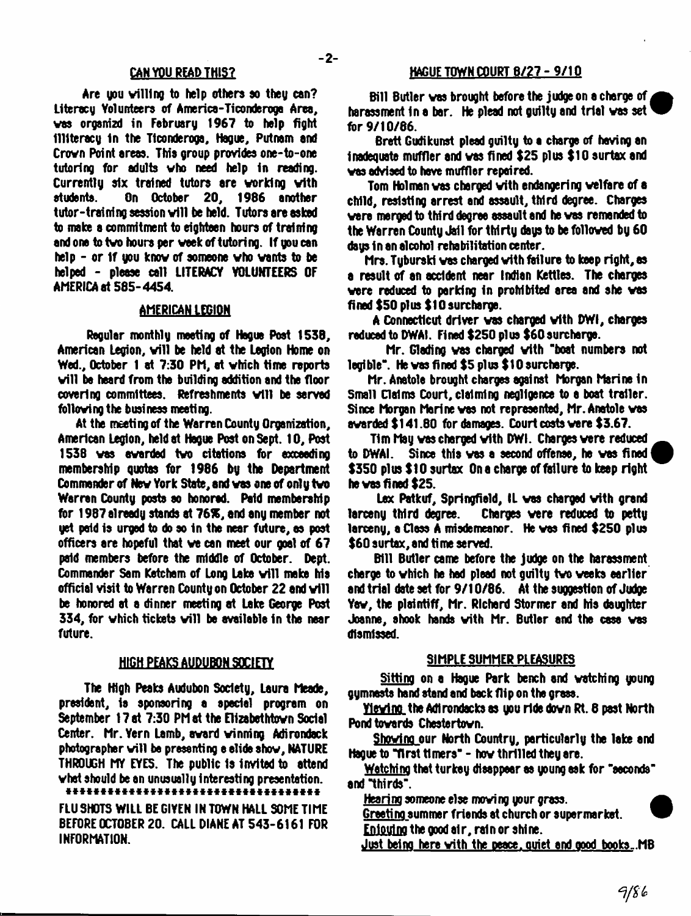#### CAN YOU READ THIS?

Are you willing to help others so they con? Literacy Volunteers of America-Ticonderoga Area, vas orgenizd in February 1967 to help fight Illiteracy In the Ttconderoga, Hague, Putnam and Crovn Point areas. This group provides one-to-one tutoring for adults who need help in reading. Currently six trained tutors are working with students. On October 20, 1986 another tutor-training session will be held. Tutors are asked to make a commitment to eighteen hours of training and one to two hours per week of tutoring. If you can help - or If you know of someone who wants to be helped - please call LITERACY VOLUNTEERS OF AMERICA at 585-4454.

#### AMERICAN LEGION

Regular monthly meeting of Hague Post 1538, American Legion, will be held at the Legion Home on Wed., October 1 at 7:30 PM, at which time reports will be heard from the building addition and the floor covering committees. Refreshments will be served following the business meeting.

At the meeting of the Warren County Organization, American Legion, held at Hogue Post on Sept. 10, Post 1538 was awarded two citations for exceeding membership quotas for 1986 by the Department Commander of New York State, and was one of only two Warren County posts so honored. Paid membership for 1987 already stands at 76%, and any member not yet paid is urged to do so in the near future, as post officers are hopeful that we can meet our goal of 67 paid members before the middle of October. Dept. Commander Sam Ketcham of Long Lake will make his official visit to Warren County on October 22 and will be honored at a dinner meeting at Lake George Post 334, for vhich tickets will be available in the near future.

#### HIGH PEAKS AUDUBON SOCIETY

The High Peaks Audubon Society, Laura Meade, president, is sponsoring a special program on September 17 at 7:30 PM at the Elizabethtown Social Center. Mr. Yern Lamb, award winning Adirondack photographer will be presenting e elide show, NATURE THROUGH MY EYES. The public Is invited to attend what should be an unusually interesting presentation.

\*\*\*\*\*\*\*\*\*\*\*\*\*\*\*\*\*\*\*\*\*\*\*\*\*\*\*\*\*\*\*\* FLU SHOTS WILL BE GIVEN IN TOWN HALL SOME TIME BEFORE OCTOBER 20. CALL DIANE AT 543-6161 FOR INFORMATION.

#### HAGUE TOWN COURT 6/27 - 9/1Q

Bill Butler vas brought before the judge on a charge of , harassment in a bar. He plead not guilty and trial was set  $\overline{\phantom{a}}$ for 9/10/66.

Brett Gudikunst plead guilty to a charge of having an inadequate muffler and vas fined \$25 plus \$10 surtax and vas advised to have muffler repaired.

Tom Holman vas charged with endangering welfare of a child, resisting arrest and assault, third degree. Charges were merged to third degree assault and he vas remanded to the Warren County Jail for thirty days to be followed by 60 days in an alcohol rehabilitation center.

Mrs. Tyburski vas charged with failure to keep right, as a result of an accident near Indian Kettles. The charges were reduced to parking in prohibited area and she was fined \$50 plus \$10 surcharge.

A Connecticut driver vas charged with DWI, charges reduced to DWAI. Fined \$250 plus \$60 surcharge.

Mr. Gleding vas charged with "boat numbers not legible". He vas fined \$5 plus \$10 surcharge.

Mr. Anatole brought charges against Morgan Marine 1n Small Claims Court, claiming negligence to a boat trailer. Since Morgan Marine vas not represented, Mr. Anatole vas awarded \$141.80 for damages. Court costs were \$3.67.

Tim May was charged with DWI. Charges were reduced to DWAI. Since this vas a second offense, he vas fined \$350 plus \$10 surtax On a charge of failure to keep right he vas fined \$25.

Lex Patkuf, Springfield, IL vas charged with grand larceny third degree. Charges were reduced to petty larceny, a Class A misdemeanor. He was fined \$250 plus \$60 surtax, and ti me served.

Bill Butler came before the judge on the harassment charge to which he had plead not guilty two weeks earlier and trial date set for 9/10/86. At the suggestion of Judge Yaw, the plaintiff, Mr. Richard Stormer and his daughter Joanne, shook hands with Mr. Butler and the case vas dismissed.

#### SIMPLE SUMMER PLEASURES

Sitting on a Hague Park bench and watching young gymnasts hand stand and back flip on the grass.

YievinQ the Adirondack as you ride down Rt. 6 past North Pond towards Chestertovn.

Shoving our North Country, particularly the lake and Hague to "first timers" - how thrilled they are.

Watching that turkey disappear as young ask for "seconds" and "thirds".

Hearing someone else mowing your grass.

Greeting summer friends at church or supermarket.

Enjoying the good air, rain or shine.

Just being here with the peace, ouict and good books-.MB

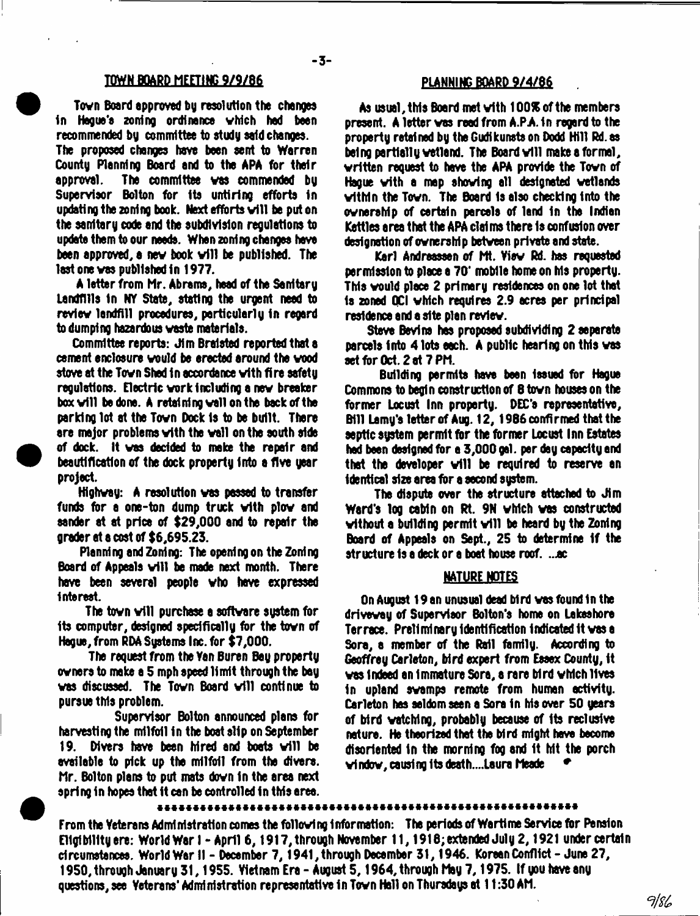## TOWN BOARD MEETING 9/9/86

Tovn Board approved by resolution the changes In Hague's anting ordinance vhich had been recommended by committee to study said changes. The proposed changes have been sent to Warren County Planning Board and to the APA for their approval. The committee vas commended by Supervisor Bolton for its untiring efforts In updating the zoning book. Next efforts will be put on the sanitary code and the subdivision regulations to update them to our needs. When zoning changes have been approved, a new book will be published. The

A letter from Mr. Abrams, head of the Sanitary Landfills In NY State, stating the urgent need to revlev landfill procedures, particularly in regard to dumping hazardous vaste materials.

last one vas published in 1977.

Committee reports: Jim Bralsted reported that a cement enclosure vould be erected around the vood stove at the Tovn Shed in accordance vfth fire safety regulations. Electric vork including a nev breaker box will be done. A retaining wall on the back of the parking lot at the Tovn Dock Is to be built. There are major problems vith the vail on the south side of dock. It vas decided to make the repair and beautification of the dock property Into a five year project.

Highvay: A resolution ves passed to transfer funds for a one-ton dump truck vith plov and sender at at price of \$29,000 and to repair the grader at a cost of \$6,695.23.

Planning and Zoning: The opening on the Zoning Board of Appeals will be made next month. There have been several people vho have expressed Interest.

The town will purchase a software system for its computer, designed specifically for the tovn of Hague, from RDA Systems Inc. for \$7,000.

The request from the Yen Buren Bay property ovners to make a 5 mph speed limit through the bay vas discussed. The Tovn Board will continue to pursue this problem.

Supervisor Bolton announced plans for harvesting the milfoil in the boat slip on September 19. Divers have been hired and boats will be available to pick up the milfoil from the divers. Mr. Bolton plans to put mats dovn In the area next spring in hopes that it can be controlled in this area.

#### PLANNING BOARD 9/4/86

As usual, this Board met vith 100% of the members present. A letter vas read from A.PA. In regard to the property retained by the Gudikunsts on Dodd Hill Rd. <del>as</del> being partially wetland. The Board will make a formal, vritten request to have the APA provide the Tovn of Hague vith a map shoving all designated vetlands within the Town. The Board is also checking into the ownership of certain parcels of land in the Indian Kettles area that the APA claims there Is confusion over designation of ovners hip betveen private and state.

Karl Andreassen of Mt. Viev Rd. has requested permission to place a 70\* mobile home on his property. This vould place 2 primary residences on one lot that Is zoned QCI vhich requires 2.9 acres per principal residence and a site plan revlev.

Steve Bevins has proposed subdividing 2 separate parcels into 4 lots each. A public hearing on this vas set for Oct. 2 at 7 PM.

Building permits have been issued fer Hague Commons to begin construction of 8 tovn houses on the former Locust Inn property. DEC'S representative, Bill Lamy's letter of Aug. 12, 1986 confirmed that the septic system permit fer the fermer Locust Inn Estates had bean designed fer a 3,000 gal. per day capacity and that the developer will be required to reserve an identical size area fer a second system.

The dispute over the structure attached to Jim Ward's log cabin on Rt. 9N vhich vas constructed without a building permit will be heard by the Zoning Board of Appeals on Sept., 25 to determine if the structure is a deck or a boat house roof. ...ac

#### NATURE NOTES

On August 19 an unusual dead bird vas found In the driveway of Supervisor Bolton's horns on Lakeshore Terrace. Preliminary Identification indicated it vas a Sora, a member of the Rail family. According to Geoffrey Carlston, bird expert from Essex County, it vas Indeed an Immature Sora, a rare bird vMch lives in upland svamps remote from human activity. Carleton has seldom seen a Sora in his over 50 years of bird vatchlng, probably because of Its reclusive nature. He theorized that the bird might have become disoriented in the morning fog and It Mt the porch vindov, causing lb death....Laura Meade \*

From the Veterans Administration comes the following Information: The periods of Wartime Service fer Pension Eligibility ere: World War I - April 6,1917, through November 11,1916;extended July 2,1921 under certain circumstances. World War II - December 7,1941, through December 31,1946. Korean Conflict - June 27, 1950, through January 31,1955. Vietnam Era - August 5,1964, through May 7,1975. If you have any questions, see Veterans' Administration representative in Tovn Hall on Thursdays at 11:30 AM.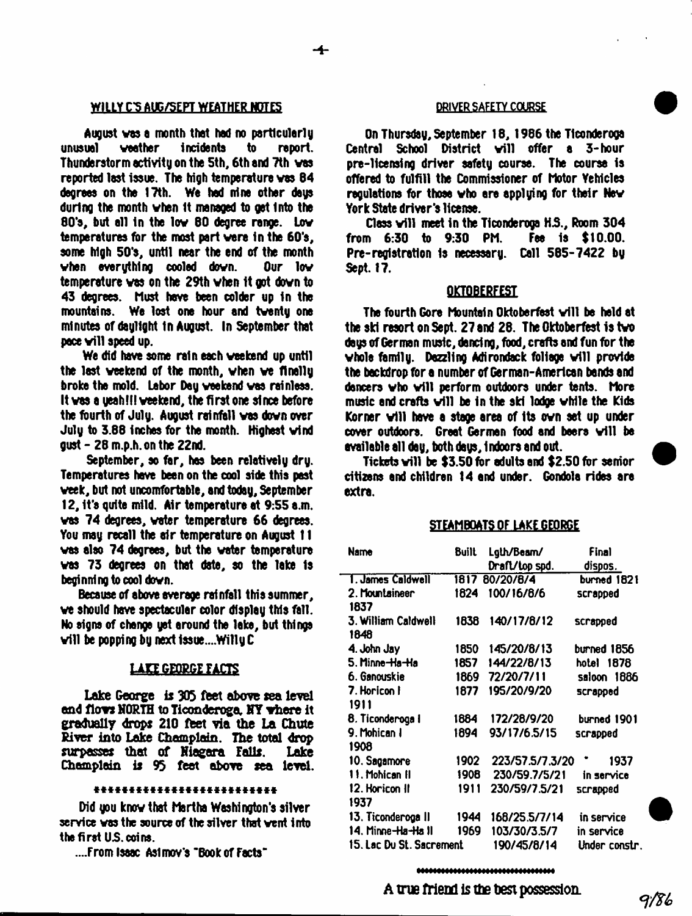#### WILLY C'S AUG/SEPT WEATHER NOTES **WILLY COURSE**

August was a month that had no particularly<br>unusual **weather** incidents to report. incidents to Thunderstorm activity on the 5th, 6th and 7th vas reported last issue. The high temperature vas 84 degrees on the 17th. We had nine other days during the month vhen It managed to get Into the 80's, but all in the low 80 degree range. Low temperatures for the most part vere in the 60's, some high 50's, until near the end of the month vhen everything cooled dovn. Our lov temperature vas on the 29th vhen It got dovn to 43 degrees. Must have been colder up In the mountains. We lost one hour and tventy one minutes of daylight In August. In September that pace will speed up.

We did have some rain each veekend up until the last veekend of the month, vhen ve flnelly broke the mold. Labor Day veekend vas rainless. It vas a yeahlll veekend, the first one since before the fourth of July. August rainfall vas dovn over July to 3.88 inches for the month. Highest vind gust - 28 m.p.h. on the 22nd.

September, so far, has been relatively dry. Temperatures have been on the cool side this past veek, but not uncomfortable, and today, September 12, it's quite mild. Air temperature at 9:55 a.m. vas 74 degrees, voter temperature 66 degrees. You may recall the air temperature on August 11 vas also 74 degrees, but the vater temperature vas 73 degrees on that date, so the lake Is beginning to cool dovn.

Because of above average raf nfall this summer, ve should have spectacular color display this fall. No signs of change yet around the lake, but things v ill be popping by next 1ssue....Willy C

#### LAKE GEORGE FACTS

Lake George is 305 feet above sea level and fiovs NORTH to Ticonderoga, NT There it gradually drops 210 ffeet via the La Chute River into Lake Champlain. The total drop surpasses that of Niagara Falls. Lake surpasses that of Niagara Falls. Champlain is 93 feet above sea level.

#### \*\*\*\*\*\*\*\*\*\*\*\*\*\*\*\*\*\*\*\*\*\*

Did you know that Martha Washington's silver service vas the source of the silver that vent into the first US. coins.

....From Isaac Asimov's "Book of facts"

On Thursday, September 18, 1986 the Ticonderoga Central School District will offer a 3-hour pre-licensing driver safety course. The course is offered to fulfill the Commissioner of Motor Yehlcles regulations for those vho are applying for their Nev York State driver's license.

Class will meet in the Ticonderoga H.S., Room 304<br>m 6:30 to 9:30 PM. Fee is \$10.00. from  $6:30$  to  $9:30$  PM. Pre-registration is necessary. Call 585-7422 by Sept. 17.

## **OKTOBERFEST**

The fourth Gore Mountain Oktoberfest v ill be held at the ski resort on Sept. 27 and 28. The Oktoberfest is tvo days of German music, dancing, food, crafts and fun for the vhole family. Dazzling Adirondack foliage will provide the backdrop for a number of German-American bends and dancers who will perform outdoors under tents. More music and crafts will be in the ski lodge while the Kids Korner will have a stage area of its own set up under cover outdoors. Great German food and beers will be available all day, both days, 1 ndoors and out.

Tickets vill be  $$3.50$  for adults and  $$2.50$  for senior citizens end children 14 end under. Gondola rides are extra.

### STEAMBOATS OF LAKE GEORGE

| <b>Name</b>                 | <b>Built</b> | Lgth/Beam/      | Final         |
|-----------------------------|--------------|-----------------|---------------|
|                             |              | Draft/top spd.  | dispos.       |
| T. James Caldwell           | 1817         | 80/20/8/4       | burned 1821   |
| 2. Mountaineer<br>1837      | 1824         | 100/16/8/6      | scrapped      |
| 3. William Caldwell<br>1848 | 1838         | 140/17/8/12     | scrapped      |
| 4. John Jay                 | 1850         | 145/20/8/13     | burned 1856   |
| 5. Minne-Ha-Ha              | 1857         | 144/22/8/13     | hotel<br>1878 |
| 6. Ganouskie                | 1869         | 72/20/7/11      | saloon 1886   |
| 7. Horicon I                | 1877         | 195/20/9/20     | scrapped      |
| 1911                        |              |                 |               |
| 8. Ticonderoga I            | 1884         | 172/28/9/20     | burned 1901   |
| 9. Mohican I                | 1894         | 93/17/6.5/15    | scrapped      |
| 1908                        |              |                 |               |
| 10. Sagamore                | 1902         | 223/57.5/7.3/20 | 1937          |
| 11. Mohican II              | 1908         | 230/59.7/5/21   | in service    |
| 12. Horicon II              | 1911         | 230/59/7.5/21   | scrapped      |
| 1937                        |              |                 |               |
| 13. Ticonderoga II          | 1944         | 168/25.5/7/14   | in service    |
| 14. Minne-Ha-Ha II          | 1969         | 103/30/3.5/7    | in service    |
| 15. Lac Du St. Sacrement    |              | 190/45/8/14     | Under constr. |

\*\*\*\*\*\*\*\*\*\*\*\*\*\*\*\*\*\*\*\*\*\*\*\*\*\*\*\*\*\*\*\*\*\*

# A true Mend is tte test possession.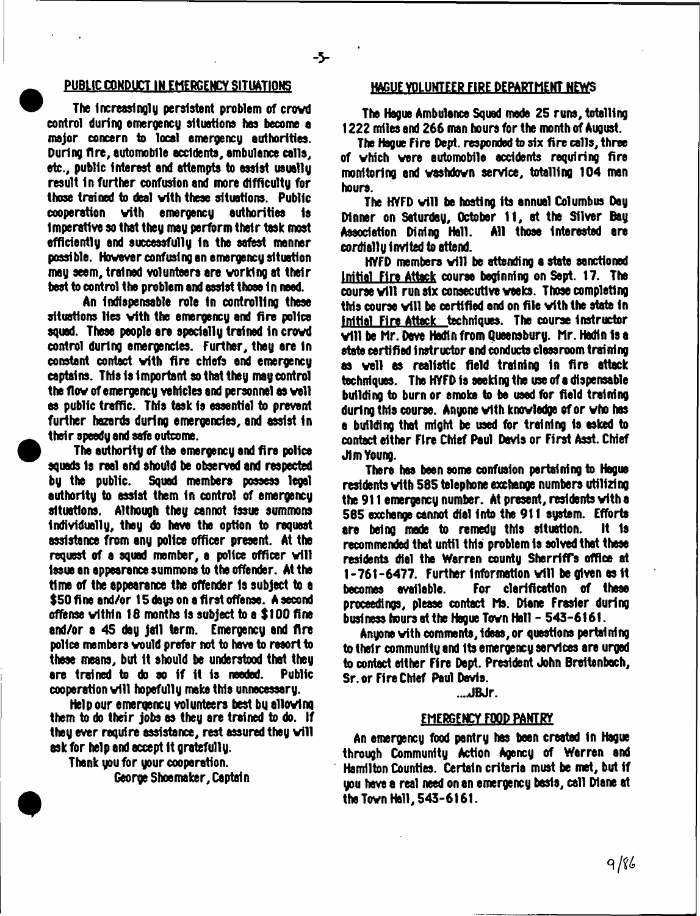#### PUBLIC CONDUCT IN EMERGENCY SITUATIONS

 $-5 -$ 

The Increasingly persistent problem of crowd control during emergency situations has become a major concern to local emergency authorities. During fire, automobile accidents, ambulance calls, etc., public interest and attempts to assist usually result In further confusion and more difficulty for those trained to deal with these situations. Public cooperation vith emergency authorities is Imperative so that they may perform their task most efficiently and successfully in the safest manner possible. However confusing an emergency situation may seem, trained volunteers are working at their best to control the problem and assist those in need.

An indispensable role in controlling these situations lies with the emergency and fire police squad. These people are specially trained in crowd control during emergencies. Further, they are in constant contact vith fire chiefs and emergency captains. This is important so that they may control the flow of emergency vehicles and personnel as well as public traffic. This task is essential to prevent further hazards during emergencies, and assist in their speedy and safe outcome.

The authority of the emergency and fire police squads Is real and should be observed and respected by the public. Squad members possess legal authority to assist them In control of emergency situations. Although they cannot Issue summons individually, they do have the option to request assistance from any police officer present. At the request of a squad member, a police officer will issue an appearance summons to the offender. At the time of the appearance the offender is subject to a \$50 fine and/or 15 days on a first offense. A second offense within 18 months Is subject to a \$100 fine and/or a 45 day jail term. Emergency and fire police members would prefer not to have to resort to these means, but it should be understood that they<br>are trained to do so if it is needed. Public are trained to do so if it is needed. cooperation will hopefully make this unnecessary.

Help our emergency volunteers best by allowing them to do their jobs as they are trained to do. If they ever require assistance, rest assured they will ask for help and accept it gratefully.

Thank you for your cooperation. George Shoemaker, Captain

## HAGUE VOLUNTEER FIRE DEPARTMENT NEWS

The Hague Ambulance Squad made 25 runs, totalling 1222 miles and 266 man hours for the month of August.

The Hague Fire Dept, responded to six fire calls, three of vhich were automobile accidents requiring fire monitoring and wsshdovn service, totalling 104 man hours.

The HVFD will be hosting its annual Columbus Day Dinner on Saturday, October 11, at the Silver Day Association Dining Hall. cordially invited to attend.

 $HVPD$  members will be attending a state sanctioned Initial Fire Attack course beginning on Sept. 17. The course will run six consecutive weeks. Those completing this course will be certified end on file with the state in Initial Fire Attack techniques. The course instructor will be Hr. Dave Hadfn from Queensbury. Hr. Hadtn is a state certified instructor and conducts classroom training as well as realistic field training in fire attack techniques. The HVFD is seeking the use of a dispensable building to burn or smoke to be used for field training during this course. Anyone with knowledge of or who has a building that might be used for training is asked to contact either Fire Chief Paul Davis or First Asst. Chief Jim Young.

There has been some confusion pertaining to Hague residents with 585 telephone exchange numbers utilizing the 911 emergency number. At present, residents with a 565 exchange cannot dial into the 911 system. Efforts are being made to remedy this situation. It 1s recommended that until this problem is solved that these residents dial the Warren county SherrifTs office at 1-761-6477. Further Information will be given as 1t becomes available. For clarification of these proceedings, please contact Ms. Diane Frasier during business hours at the Hague Town Hall - 543-6161.

Anyone vith comments, ideas, or questions pertaining to their community and Its emergency services are urged to contact either Fire Dept. President John Breitenbech, Sr. or Fire Chief Paul Davis.

...JBJr.

#### EMERGENCY FOOD PANTRY

An emergency food pantry has been created In Hague through Community Action Agency of Warren and Hamilton Counties. Certain criteria must be met, but if you have a real need on an emergency basis, call Diane at the Tovn Hall, 543-6161.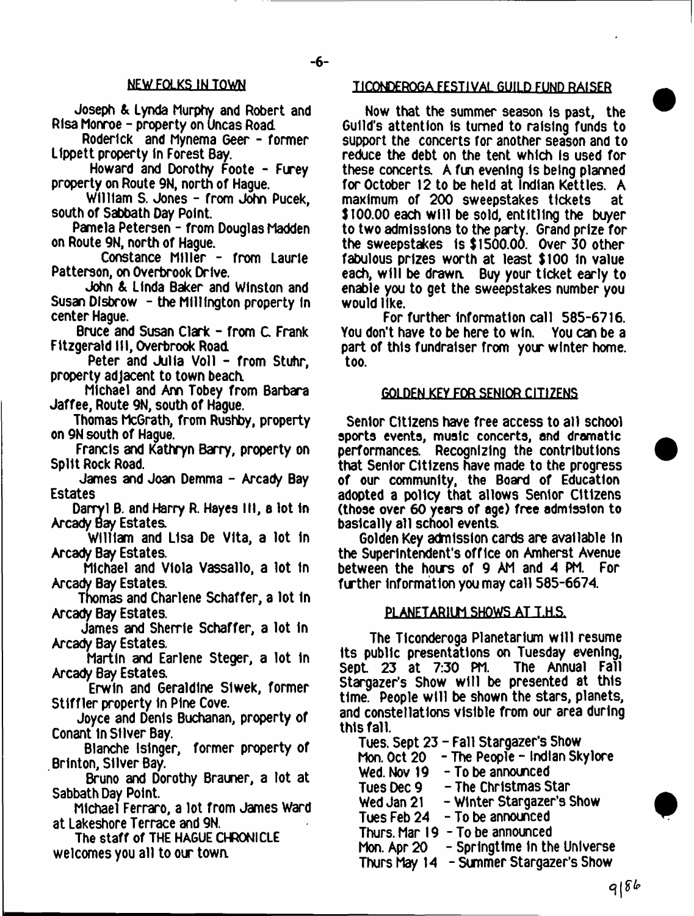# NEW FOLKS IN TOWN

Joseph & Lynda Murphy and Robert and Rlsa Monroe - property on Uncas Road

Roderick and Mynema Geer - former Llppett property In Forest Bay.

Howard and Dorothy Foote - Furey property on Route 9N, north of Hague.

William S. Jones - from John Pucek, south of Sabbath Day Point.

Pamela Petersen - from Douglas Madden on Route 9N, north of Hague.

Constance Miller - from Laurie Patterson, on Overbrook Drive.

John & Linda Baker and Winston and Susan Disbrow - the Millington property in center Hague.

Bruce and Susan Clark - from C. Frank Fitzgerald III, Overbrook Road

Peter and Julia Voll - from Stuhr, property adjacent to town beach.

Michael and Ann Tobey from Barbara Jaffee, Route 9N, south of Hague.

Thomas McGrath, from Rushby, property on 9N south of Hague.

Francis and Kathryn Barry, property on Split Rock Road.

James and Joan Demma - Arcady Bay Estates

Darryl B. and Harry R. Hayes III, a lot 1n Arcady Bay Estates

William and Lisa De Vita, a lot In Arcady Bay Estates.

Michael and Viola Vassallo, a lot In Arcady Bay Estates.

Tnomas and Charlene Schaffer, a lot In Arcady Bay Estates.

James and Sherrie Schaffer, a lot In Arcady Bay Estates.

Martin and Earlene Steger, a lot In Arcady Bay Estates.

Erwin and Geraldine Slwek, former Stiffler property In Pine Cove.

Joyce and Denis Buchanan, property of Conant in Silver Bay.

Blanche Islnger, former property of Brlnton, Silver Bay.

Bruno and Dorothy Brauner, a lot at Sabbath Day Point.

Michael Ferraro, a lot from James ward at Lakeshore Terrace and 9N.

The staff of THE HAGUE CHRONICLE welcomes you all to our town.

## TICONDEROGA FESTIVAL GUILD FUND RAISER

Now that the summer season is past, the Guild's attention is turned to raising funds to support the concerts for another season and to reduce the debt on the tent which is used for these concerts. A fun evening is being planned for October 12 to be held at Indian Kettles. A maximum of 200 sweepstakes tickets at \$100.00 each will be sold, entitling the buyer to two admissions to the party. Grand prize for the sweepstakes is \$1500.00. Over 30 other fabulous prizes worth at least \$100 in value each, w ill be drawn. Buy your ticket early to enable you to get the sweepstakes number you would like.

For further Information call 585-6716. You don't have to be here to win. You can be a part of this fundraiser from your winter home, too.

#### GOLDEN KEY FOR SENIOR CITIZENS

Senior Citizens have free access to all school sports events, music concerts, and dramatic performances Recognizing the contributions that Senior Citizens have made to the progress of our community, the Board of Education adopted a policy that allows Senior Citizens (those over 60 years of age) free admission to basically all school events.

Golden Key admission cards are available In the Superintendent's office on Amherst Avenue between the hours of 9 AM and 4 PM. For further Information you may call 585-6674.

#### PI ANFTARIUM SHOWS AT T.H.S.

The Ticonderoga Planetarium w ill resume its public presentations on Tuesday evening, Sept. 23 at 7:30 PM. The Annual Fall Stargazer's Show will be presented at this time. People w ill be shown the stars, planets, and constellations visible from our area during this fall.

Tues. Sept 23 - Fall Stargazer's Show Mon. Oct 20 - The People - Indian Skylore Wed. Nov 19 - To be announced Tues Dec 9 - The Christmas Star Wed Jan 21  $-$  Winter Stargazer's Show Tues Feb 24 - To be announced Thurs. Mar 19 - To be announced Mon. Apr 20 - Springtime In the Universe

Thurs May 14 - Summer Stargazer's Show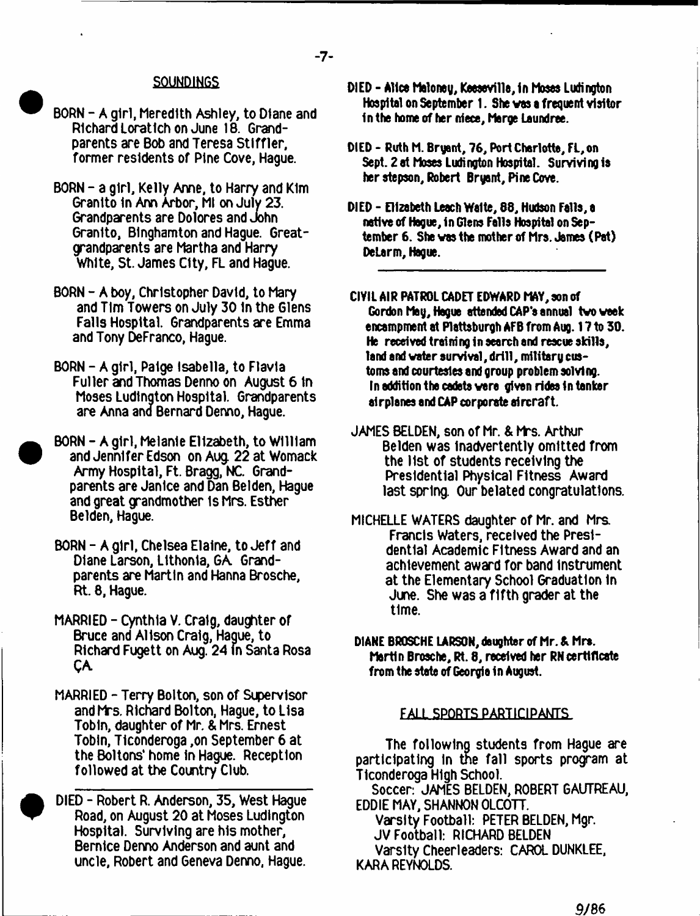# $-7-$

# SOUNDINGS

- BORN A girl, Meredith Ashley, to Diane and Richard Loratlch on June 18. Grandparents are Bob and Teresa Stlffler, former residents of Pine Cove, Hague.
- BORN a girl, Kelly Anne, to Harry and Kim Granlto In Ann Arbor, Ml on July 23. Grandparents are Dolores and John Granlto, Binghamton and Hague. Greatgrandparents are Martha and Harry White, St. James City, FL and Hague.
- BORN A boy, Christopher David, to Mary and Tim Towers on July 301n the Glens Falls Hospital. Grandparents are Emma and Tony DeFranco, Hague.
- BORN A girl, Paige Isabella, to Flavla Fuller and Thomas Denno on August 6 In Moses Ludington Hospital. Grandparents are Anna and Bernard Denno, Hague.
- BORN A girl, Melanie Elizabeth, to William and Jennifer Edson on Aug. 22 at Womack Army Hospital, Ft. Bragg, NC. Grandparents are Janice and Dan Betden, Hague and great grandmother is Mrs. Esther Belden, Hague.
- BORN A girl, Chelsea Elaine, to Jeff and Diane Larson, Llthonla, GA. Grandparents are Martin and Hanna Brosche, Rt. 8, Hague.
- MARRIED Cynthia V. Craig, daughter of Bruce and Alison Craig, Hague, to Richard Fugett on Aug. 24 In Santa Rosa QA.
- MARRIED Terry Bolton, son of Supervisor and Mrs. Richard Bolton, Hague, to Lisa Tobin, daughter of Mr. & Mrs. Ernest Tobin, Ticonderoga ,on September 6 at the Boltons\* home In Hague. Reception followed at the Country Club.
- DIED Robert R. Anderson, 35, West Hague Road, on August 20 at Moses Ludlngton Hospital. Surviving are his mother, Bernice Denno Anderson and aunt and uncle, Robert and Geneva Denno, Hague.
- DIED Alice Maloney, Keeseville, in Moses Ludington Hospital on September 1. She vas a frequent visitor in the home of her niece, Marge Laundree.
- DIED Ruth M. Bryant, 76, Port Charlotte, FL,on Sept. *2* at Moses Ludington Hospital. Surviving is her stepson, Robert Bryant, Pine Cove.
- DIED Elizabeth Leech Waite, 88, Hudson Fells, e native of Hogue, in Glens Fells Hospital on September 6. She vas the mother of Mrs. James (Pat) DeLarm, Hague.
- CIVIL AIR PATROL CADET EDWARD MAY, son of Gordon May, Hague attended CAP'e annuel tvo week encampment at Plattsburgh AFB from Aug. 17 to 30. He received training in search and rescue skills. land and water survival, drill, military customs and courtesies end group problem solving. In addition the cadets vere given rides In tanker airplanes and CAP corporate aircraft.
- JAMES BELDEN, son of Mr. & Mrs. Arthur Belden was Inadvertently omitted from the list of students receiving the Presidential Physical Fitness Award last spring. Our belated congratulations.
- MICHELLE WATERS daughter of Mr. and Mrs. Francis Waters, received the Presidential Academic Fitness Award and an achievement award for band Instrument at the Elementary School Graduation In June. She was a fifth grader at the time.
- DIANE BROSCHE LARSON, daughter of Mr. A Mrs. Martin Brosche, Rt. 8, received her RNcertificate from the state of Georgia in August.

#### FALL SPORTS PARTICIPANTS

The following students from Hague are participating In the fall sports program at Ticonderoga High School.

Soccer: JAMES BELDEN, ROBERT GAUTREAU, EDDIE MAY, SHANNON OLCOTT.

Varsity Football: PETER BELDEN, Mgr.

JV Football: RICHARD BELDEN

Varsity Cheerleaders: CAROL DUNKLEE, KARA REYNOLDS.